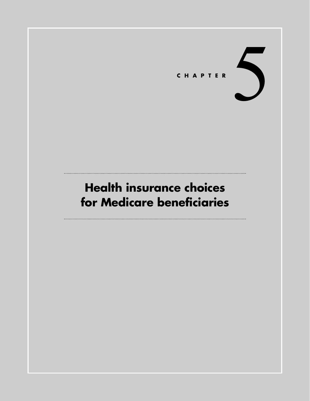# CHAPTER

# **Health insurance choices for Medicare beneficiaries**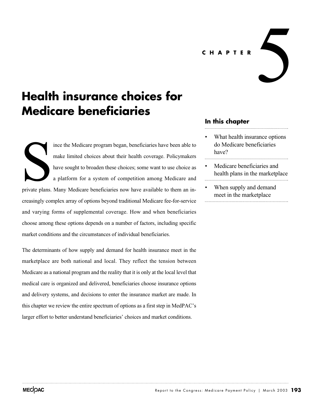**CHAPTER**

# **Health insurance choices for Medicare beneficiaries**

ince the Medicare program began, beneficiaries have been able to make limited choices about their health coverage. Policymakers have sought to broaden these choices; some want to use choice as a platform for a system of competition among Medicare and private plans. Many Medicare beneficiaries now have available to them an increasingly complex array of options beyond traditional Medicare fee-for-service and varying forms of supplemental coverage. How and when beneficiaries choose among these options depends on a number of factors, including specific market conditions and the circumstances of individual beneficiaries. Surface plans.

The determinants of how supply and demand for health insurance meet in the marketplace are both national and local. They reflect the tension between Medicare as a national program and the reality that it is only at the local level that medical care is organized and delivered, beneficiaries choose insurance options and delivery systems, and decisions to enter the insurance market are made. In this chapter we review the entire spectrum of options as a first step in MedPAC's larger effort to better understand beneficiaries' choices and market conditions.

## **In this chapter**

What health insurance options do Medicare beneficiaries have?

 $\blacktriangle$ 

- Medicare beneficiaries and health plans in the marketplace
- When supply and demand meet in the marketplace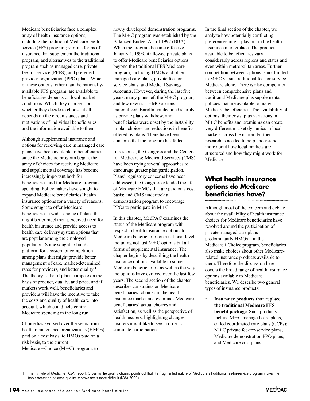Medicare beneficiaries face a complex array of health insurance options, including the traditional Medicare fee-forservice (FFS) program; various forms of insurance that supplement the traditional program; and alternatives to the traditional program such as managed care, private fee-for-service (PFFS), and preferred provider organization (PPO) plans. Which of these options, other than the nationallyavailable FFS program, are available to beneficiaries depends on local market conditions. Which they choose—or whether they decide to choose at all depends on the circumstances and motivations of individual beneficiaries and the information available to them.

Although supplemental insurance and options for receiving care in managed care plans have been available to beneficiaries since the Medicare program began, the array of choices for receiving Medicare and supplemental coverage has become increasingly important both for beneficiaries and for Medicare program spending. Policymakers have sought to expand Medicare beneficiaries' health insurance options for a variety of reasons. Some sought to offer Medicare beneficiaries a wider choice of plans that might better meet their perceived need for health insurance and provide access to health care delivery system options that are popular among the employed population. Some sought to build a platform for a system of competition among plans that might provide better management of care, market-determined rates for providers, and better quality.<sup>1</sup> The theory is that if plans compete on the basis of product, quality, and price, and if markets work well, beneficiaries and providers will have the incentive to take the costs and quality of health care into account, which could help control Medicare spending in the long run.

Choice has evolved over the years from health maintenance organizations (HMOs) paid on a cost basis, to HMOs paid on a risk basis, to the current  $Medicare + Choice (M+C)$  program, to

newly developed demonstration programs. The  $M+C$  program was established by the Balanced Budget Act of 1997 (BBA). When the program became effective January 1, 1999, it allowed private plans to offer Medicare beneficiaries options beyond the traditional FFS Medicare program, including HMOs and other managed care plans, private fee-forservice plans, and Medical Savings Accounts. However, during the last five years, many plans left the M-C program, and few new non-HMO options materialized. Enrollment declined sharply as private plans withdrew, and beneficiaries were upset by the instability in plan choices and reductions in benefits offered by plans. There have been concerns that the program has failed.

In response, the Congress and the Centers for Medicare & Medicaid Services (CMS) have been trying several approaches to encourage greater plan participation. Plans' regulatory concerns have been addressed; the Congress extended the life of Medicare HMOs that are paid on a cost basis; and CMS undertook a demonstration program to encourage PPOs to participate in  $M+C$ .

In this chapter, MedPAC examines the status of the Medicare program with respect to health insurance options for Medicare beneficiaries on a national level, including not just M-C options but all forms of supplemental insurance. The chapter begins by describing the health insurance options available to some Medicare beneficiaries, as well as the way the options have evolved over the last few years. The second section of the chapter describes constraints on Medicare beneficiaries' choices in the health insurance market and examines Medicare beneficiaries' actual choices and satisfaction, as well as the perspective of health insurers, highlighting changes insurers might like to see in order to stimulate participation.

In the final section of the chapter, we analyze how potentially conflicting preferences might play out in the health insurance marketplace. The products available to beneficiaries vary considerably across regions and states and even within metropolitan areas. Further, competition between options is not limited to M-C versus traditional fee-for-service Medicare alone. There is also competition between comprehensive plans and traditional Medicare plus supplemental policies that are available to many Medicare beneficiaries. The availability of options, their costs, plus variations in M-C benefits and premiums can create very different market dynamics in local markets across the nation. Further research is needed to help understand more about how local markets are structured and how they might work for Medicare.

# **What health insurance options do Medicare beneficiaries have?**

Although most of the concern and debate about the availability of health insurance choices for Medicare beneficiaries have revolved around the participation of private managed care plans predominantly HMOs—in the Medicare-Choice program, beneficiaries also make choices about other Medicarerelated insurance products available to them. Therefore the discussion here covers the broad range of health insurance options available to Medicare beneficiaries. We describe two general types of insurance products:

• **Insurance products that replace the traditional Medicare FFS benefit package**. Such products include M-C managed care plans, called coordinated care plans (CCPs); M-C private fee-for-service plans; Medicare demonstration PPO plans; and Medicare cost plans.



<sup>1</sup> The Institute of Medicine (IOM) report, Crossing the quality chasm, points out that the fragmented nature of Medicare's traditional fee-for-service program makes the implementation of some quality improvements more difficult (IOM 2001).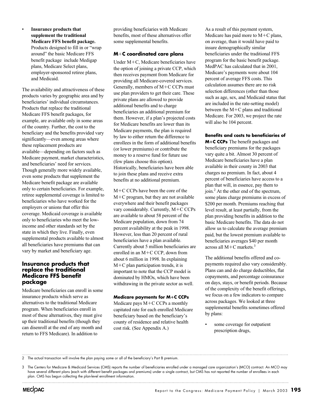#### • **Insurance products that supplement the traditional Medicare FFS benefit package.** Products designed to fill in or "wrap around" the basic Medicare FFS benefit package include Medigap plans, Medicare Select plans, employer-sponsored retiree plans,

and Medicaid.

The availability and attractiveness of these products varies by geographic area and by beneficiaries' individual circumstances. Products that replace the traditional Medicare FFS benefit packages, for example, are available only in some areas of the country. Further, the cost to the beneficiary and the benefits provided vary significantly—even among areas where these replacement products are available—depending on factors such as Medicare payment, market characteristics, and beneficiaries' need for services. Though generally more widely available, even some products that supplement the Medicare benefit package are available only to certain beneficiaries. For example, retiree supplemental coverage is limited to beneficiaries who have worked for the employers or unions that offer this coverage. Medicaid coverage is available only to beneficiaries who meet the lowincome and other standards set by the state in which they live. Finally, even supplemental products available to almost all beneficiaries have premiums that can vary by market and beneficiary age.

#### **Insurance products that replace the traditional Medicare FFS benefit package**

Medicare beneficiaries can enroll in some insurance products which serve as alternatives to the traditional Medicare program. When beneficiaries enroll in most of these alternatives, they must give up their traditional benefits (though they can disenroll at the end of any month and return to FFS Medicare). In addition to

providing beneficiaries with Medicare benefits, most of these alternatives offer some supplemental benefits.

#### **M**-**C coordinated care plans**

Under M-C, Medicare beneficiaries have the option of joining a private CCP, which then receives payment from Medicare for providing all Medicare-covered services. Generally, members of M+C CCPs must use plan providers to get their care. These private plans are allowed to provide additional benefits and to charge beneficiaries an additional premium for them. However, if a plan's projected costs for Medicare benefits are lower than its Medicare payments, the plan is required by law to either return the difference to enrollees in the form of additional benefits (or lower premiums) or contribute the money to a reserve fund for future use (few plans choose this option). Historically, beneficiaries have been able to join these plans and receive extra benefits at no additional premium.

M-C CCPs have been the core of the M-C program, but they are not available everywhere and their benefit packages vary considerably. Currently, M-C CCPs are available to about 58 percent of the Medicare population, down from 74 percent availability at the peak in 1998. However, less than 20 percent of rural beneficiaries have a plan available. Currently about 5 million beneficiaries are enrolled in an M-C CCP, down from about 6 million in 1998. In explaining M-C plan participation trends, it is important to note that the CCP model is dominated by HMOs, which have been withdrawing in the private sector as well.

#### **Medicare payments for M**-**C CCPs**

Medicare pays M-C CCPs a monthly capitated rate for each enrolled Medicare beneficiary based on the beneficiary's county of residence and relative health cost risk. (See Appendix A.)

As a result of this payment system, Medicare has paid more to  $M+C$  plans, on average, than it would have paid to insure demographically similar beneficiaries under the traditional FFS program for the basic benefit package. MedPAC has calculated that in 2001, Medicare's payments were about 104 percent of average FFS costs. This calculation assumes there are no risk selection differences (other than those such as age, sex, and Medicaid status that are included in the rate-setting model) between the  $M+C$  plans and traditional Medicare. For 2003, we project the rate will also be 104 percent.

**Benefits and costs to beneficiaries of**

**M**-**C CCPs** The benefit packages and beneficiary premiums for the packages vary quite a bit. Almost 30 percent of Medicare beneficiaries have a plan available in their county in 2003 that charges no premium. In fact, about 4 percent of beneficiaries have access to a plan that will, in essence, pay them to join.2 At the other end of the spectrum, some plans charge premiums in excess of \$200 per month. Premiums reaching that level result, at least partially, from the plan providing benefits in addition to the basic Medicare benefits. The data do not allow us to calculate the average premium paid, but the lowest premium available to beneficiaries averages \$40 per month across all  $M+C$  markets.<sup>3</sup>

The additional benefits offered and copayments required also vary considerably. Plans can and do charge deductibles, flat copayments, and percentage coinsurance on days, stays, or benefit periods. Because of the complexity of the benefit offerings, we focus on a few indicators to compare across packages. We looked at three supplemental benefits sometimes offered by plans:

some coverage for outpatient prescription drugs,

2 The actual transaction will involve the plan paying some or all of the beneficiary's Part B premium.

<sup>3</sup> The Centers for Medicare & Medicaid Services (CMS) reports the number of beneficiaries enrolled under a managed care organization's (MCO) contract. An MCO may have several different plans (each with different benefit packages and premiums) under a single contract, but CMS has not reported the number of enrollees in each plan. CMS has begun collecting the plan-level enrollment information.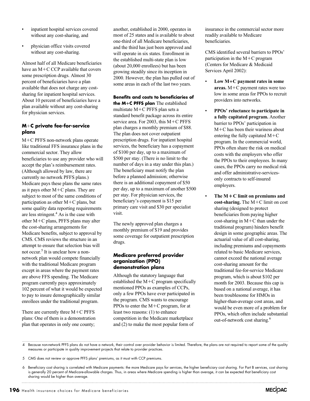- inpatient hospital services covered without any cost-sharing, and
- physician office visits covered without any cost-sharing.

Almost half of all Medicare beneficiaries have an M-C CCP available that covers some prescription drugs. Almost 30 percent of beneficiaries have a plan available that does not charge any costsharing for inpatient hospital services. About 10 percent of beneficiaries have a plan available without any cost-sharing for physician services.

#### **M**-**C private fee-for-service plans**

M-C PFFS non-network plans operate like traditional FFS insurance plans in the commercial sector. They allow beneficiaries to use any provider who will accept the plan's reimbursement rates. (Although allowed by law, there are currently no network PFFS plans.) Medicare pays these plans the same rates as it pays other M-C plans. They are subject to most of the same conditions of participation as other M-C plans, but some quality data reporting requirements are less stringent.<sup>4</sup> As is the case with other M-C plans, PFFS plans may alter the cost-sharing arrangements for Medicare benefits, subject to approval by CMS. CMS reviews the structure in an attempt to ensure that selection bias will not occur.<sup>5</sup> It is unclear how a nonnetwork plan would compete financially with the traditional Medicare program except in areas where the payment rates are above FFS spending. The Medicare program currently pays approximately 102 percent of what it would be expected to pay to insure demographically similar enrollees under the traditional program.

There are currently three M+C PFFS plans: One of them is a demonstration plan that operates in only one county;

another, established in 2000, operates in most of 25 states and is available to about one-third of all Medicare beneficiaries, and the third has just been approved and will operate in six states. Enrollment in the established multi-state plan is low (about 20,000 enrollees) but has been growing steadily since its inception in 2000. However, the plan has pulled out of some areas in each of the last two years.

**Benefits and costs to beneficiaries of the M**-**C PFFS plan** The established multistate M-C PFFS plan sets a standard benefit package across its entire service area. For 2003, this M+C PFFS plan charges a monthly premium of \$88. The plan does not cover outpatient prescription drugs. For inpatient hospital services, the beneficiary has a copayment of \$100 per day, up to a maximum of \$500 per stay. (There is no limit to the number of days in a stay under this plan.) The beneficiary must notify the plan before a planned admission; otherwise there is an additional copayment of \$50 per day, up to a maximum of another \$500 per stay. For physician services, the beneficiary's copayment is \$15 per primary care visit and \$30 per specialist visit.

The newly approved plan charges a monthly premium of \$19 and provides some coverage for outpatient prescription drugs.

#### **Medicare preferred provider organization (PPO) demonstration plans**

Although the statutory language that established the M-C program specifically mentioned PPOs as examples of CCPs, only a few PPOs have ever participated in the program. CMS wants to encourage PPOs to enter the  $M+C$  program, for at least two reasons: (1) to enhance competition in the Medicare marketplace and (2) to make the most popular form of

insurance in the commercial sector more readily available to Medicare beneficiaries.

CMS identified several barriers to PPOs' participation in the  $M+C$  program (Centers for Medicare & Medicaid Services April 2002):

- **Low M**-**C payment rates in some areas.** M-C payment rates were too low in some areas for PPOs to recruit providers into networks.
- **PPOs' reluctance to participate in a fully capitated program.** Another barrier to PPOs' participation in M-C has been their wariness about entering the fully capitated  $M+C$ program. In the commercial world, PPOs often share the risk on medical costs with the employers who offer the PPOs to their employees. In many cases, the PPOs carry no medical risk and offer administrative-servicesonly contracts to self-insured employers.
- **The M**-**C limit on premiums and cost-sharing.** The M-C limit on cost sharing (designed to protect beneficiaries from paying higher  $cost$ -sharing in  $M+C$  than under the traditional program) hinders benefit design in some geographic areas. The actuarial value of all cost-sharing, including premiums and copayments related to basic Medicare services, cannot exceed the national average cost-sharing amount for the traditional fee-for-service Medicare program, which is about \$102 per month for 2003. Because this cap is based on a national average, it has been troublesome for HMOs in higher-than-average cost areas, and would be even more of a problem for PPOs, which often include substantial out-of-network cost sharing.<sup>6</sup>

4 Because non-network PFFS plans do not have a network, their control over provider behavior is limited. Therefore, the plans are not required to report some of the quality measures or participate in quality improvement projects that relate to provider practices.

5 CMS does not review or approve PFFS plans' premiums, as it must with CCP premiums.

<sup>6</sup> Beneficiary cost sharing is correlated with Medicare payments: the more Medicare pays for services, the higher beneficiary cost sharing. For Part B services, cost sharing is generally 20 percent of Medicare-allowable charges. Thus, in areas where Medicare spending is higher than average, it can be expected that beneficiary cost sharing would be higher than average.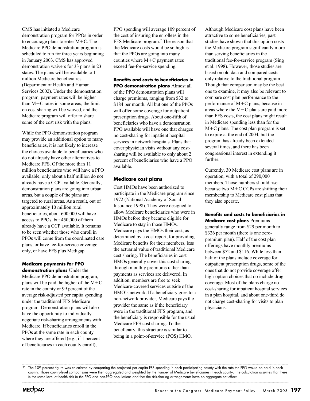CMS has initiated a Medicare demonstration program for PPOs in order to encourage plans to enter  $M+C$ . The Medicare PPO demonstration program is scheduled to run for three years beginning in January 2003. CMS has approved demonstration waivers for 33 plans in 23 states. The plans will be available to 11 million Medicare beneficiaries (Department of Health and Human Services 2002). Under the demonstration program, payment rates will be higher than M-C rates in some areas, the limit on cost sharing will be waived, and the Medicare program will offer to share some of the cost risk with the plans.

While the PPO demonstration program may provide an additional option to many beneficiaries, it is not likely to increase the choices available to beneficiaries who do not already have other alternatives to Medicare FFS. Of the more than 11 million beneficiaries who will have a PPO available, only about a half million do not already have a CCP available. Generally, demonstration plans are going into urban areas, but a couple of the plans are targeted to rural areas. As a result, out of approximately 10 million rural beneficiaries, about 600,000 will have access to PPOs, but 450,000 of them already have a CCP available. It remains to be seen whether those who enroll in PPOs will come from the coordinated care plans, or have fee-for-service coverage only, or have FFS plus Medigap.

#### **Medicare payments for PPO**

**demonstration plans** Under the Medicare PPO demonstration program, plans will be paid the higher of the  $M+C$ rate in the county or 99 percent of the average risk-adjusted per capita spending under the traditional FFS Medicare program. Demonstration plans will also have the opportunity to individually negotiate risk-sharing arrangements with Medicare. If beneficiaries enroll in the PPOs at the same rate in each county where they are offered (e.g., if 1 percent of beneficiaries in each county enroll),

PPO spending will average 109 percent of the cost of insuring the enrollees in the FFS Medicare program.<sup>7</sup> The reason that the Medicare costs would be so high is that the PPOs are going into many counties where M-C payment rates exceed fee-for-service spending.

**Benefits and costs to beneficiaries in PPO demonstration plans** Almost all of the PPO demonstration plans will charge premiums, ranging from \$32 to \$184 per month. All but one of the PPOs will offer some coverage for outpatient prescription drugs. About one-fifth of beneficiaries who have a demonstration PPO available will have one that charges no cost-sharing for inpatient hospital services in network hospitals. Plans that cover physician visits without any costsharing will be available to only about 2 percent of beneficiaries who have a PPO available.

#### **Medicare cost plans**

Cost HMOs have been authorized to participate in the Medicare program since 1972 (National Academy of Social Insurance 1998). They were designed to allow Medicare beneficiaries who were in HMOs before they became eligible for Medicare to stay in those HMOs. Medicare pays the HMOs their cost, as determined by a cost report, for providing Medicare benefits for their members, less the actuarial value of traditional Medicare cost sharing. The beneficiaries in cost HMOs generally cover this cost sharing through monthly premiums rather than payments as services are delivered. In addition, members are free to seek Medicare-covered services outside of the HMO's network. If a beneficiary goes to a non-network provider, Medicare pays the provider the same as if the beneficiary were in the traditional FFS program, and the beneficiary is responsible for the usual Medicare FFS cost sharing. To the beneficiary, this structure is similar to being in a point-of-service (POS) HMO.

Although Medicare cost plans have been attractive to some beneficiaries, past studies have shown that this option costs the Medicare program significantly more than serving beneficiaries in the traditional fee-for-service program (Sing et al. 1998). However, those studies are based on old data and compared costs only relative to the traditional program. Though that comparison may be the best one to examine, it may also be relevant to compare cost plan performance to the performance of M-C plans, because in areas where the  $M+C$  plans are paid more than FFS costs, the cost plans might result in Medicare spending less than for the M-C plans. The cost plan program is set to expire at the end of 2004, but the program has already been extended several times, and there has been congressional interest in extending it further.

Currently, 30 Medicare cost plans are in operation, with a total of 290,000 members. Those numbers should rise because two M-C CCPs are shifting their membership to Medicare cost plans that they also operate.

**Benefits and costs to beneficiaries in Medicare cost plans** Premiums generally range from \$29 per month to \$326 per month (there is one zeropremium plan). Half of the cost plan offerings have monthly premiums between \$72 and \$116. While less than half of the plans include coverage for outpatient prescription drugs, some of the ones that do not provide coverage offer high-option choices that do include drug coverage. Most of the plans charge no cost-sharing for inpatient hospital services in a plan hospital, and about one-third do not charge cost-sharing for visits to plan physicians.

The 109 percent figure was calculated by comparing the projected per capita FFS spending in each participating county with the rate the PPO would be paid in each county. Those county-level comparisons were then aggregated and weighted by the number of Medicare beneficiaries in each county. The calculation assumes that there is the same level of health risk in the PPO and non-PPO populations and that the risk-sharing arrangements have no aggregate net effect.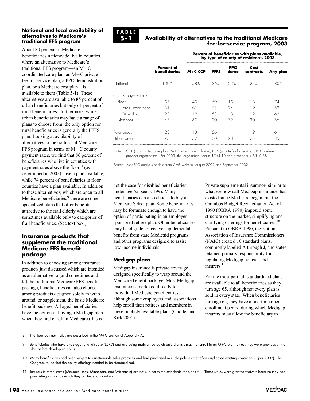#### **National and local availability of alternatives to Medicare's traditional FFS program**

About 80 percent of Medicare beneficiaries nationwide live in counties where an alternative to Medicare's traditional FFS program—an M-C coordinated care plan, an M-C private fee-for-service plan, a PPO demonstration plan, or a Medicare cost plan—is available to them (Table 5-1). These alternatives are available to 85 percent of urban beneficiaries but only 61 percent of rural beneficiaries. Furthermore, while urban beneficiaries may have a range of plans to choose from, the only option for rural beneficiaries is generally the PFFS plan. Looking at availability of alternatives to the traditional Medicare FFS program in terms of M+C county payment rates, we find that 86 percent of beneficiaries who live in counties with payment rates above the floors $8$  (as determined in 2002) have a plan available, while 74 percent of beneficiaries in floor counties have a plan available. In addition to these alternatives, which are open to all Medicare beneficiaries,<sup>9</sup> there are some specialized plans that offer benefits attractive to the frail elderly which are sometimes available only to categories of frail beneficiaries. (See text box.)

#### **Insurance products that supplement the traditional Medicare FFS benefit package**

In addition to choosing among insurance products just discussed which are intended as an alternative to (and sometimes add to) the traditional Medicare FFS benefit package, beneficiaries can also choose among products designed solely to wrap around, or supplement, the basic Medicare benefit package. All aged beneficiaries have the option of buying a Medigap plan when they first enroll in Medicare (this is



#### **Availability of alternatives to the traditional Medicare fee-for-service program, 2003**

**Percent of beneficiaries with plans available, by type of county of residence, 2003**

| <b>Percent of</b><br><b>beneficiaries</b> | $M+C$ CCP | <b>PFFS</b> | <b>PPO</b><br>demo | Cost<br>contracts | Any plan<br> |
|-------------------------------------------|-----------|-------------|--------------------|-------------------|--------------|
| 100%                                      | 58%       | 36%         | 23%                | 23%               | 80%          |
|                                           |           |             |                    |                   |              |
| 55                                        | 40        | 50          | 1.5                | 16                | 74           |
| 31                                        | 61        | 43          | 24                 | 19                | 82           |
| 23                                        | 12        | 58          | 3                  | 12                | 63           |
| 45                                        | 80        | 20          | 32                 | 30                | 86           |
| 23                                        | 13        | 56          |                    |                   | 61           |
| 77                                        | 72        | 30          | 28                 | 25                | 85           |
|                                           |           |             |                    |                   |              |

Note: CCP (coordinated care plan), M+C (Medicare+Choice), PFFS (private fee-for-service), PPO (preferred provider organization). For 2003, the large urban floor is \$564.10 and other floor is \$510.38.

Source: MedPAC analysis of data from CMS website, August 2002 and September 2002.

not the case for disabled beneficiaries under age 65; see p. 199). Many beneficiaries can also choose to buy a Medicare Select plan. Some beneficiaries may be fortunate enough to have the option of participating in an employersponsored retiree plan. Other beneficiaries may be eligible to receive supplemental benefits from state Medicaid programs and other programs designed to assist low-income individuals.

#### **Medigap plans**

Medigap insurance is private coverage designed specifically to wrap around the Medicare benefit package. Most Medigap insurance is marketed directly to individual Medicare beneficiaries, although some employers and associations help enroll their retirees and members in these publicly available plans (Chollet and Kirk 2001).

Private supplemental insurance, similar to what we now call Medigap insurance, has existed since Medicare began, but the Omnibus Budget Reconciliation Act of 1990 (OBRA 1990) imposed some structure on the market, simplifying and clarifying offerings for beneficiaries.<sup>10</sup> Pursuant to OBRA 1990, the National Association of Insurance Commissioners (NAIC) created 10 standard plans, commonly labeled A through J, and states retained primary responsibility for regulating Medigap policies and insurers.<sup>11</sup>

For the most part, all standardized plans are available to all beneficiaries as they turn age 65, although not every plan is sold in every state. When beneficiaries turn age 65, they have a one-time open enrollment period during which Medigap insurers must allow the beneficiary to

8 The floor payment rates are described in the M-C section of Appendix A.

9 Beneficiaries who have end-stage renal disease (ESRD) and are being maintained by chronic dialysis may not enroll in an M-C plan, unless they were previously in a plan before developing ESRD.

10 Many beneficiaries had been subject to questionable sales practices and had purchased multiple policies that often duplicated existing coverage (Super 2002). The Congress found that the policy offerings needed to be standardized.

11 Insurers in three states (Massachusetts, Minnesota, and Wisconsin) are not subject to the standards for plans A–J. These states were granted waivers because they had preexisting standards which they continue to maintain.

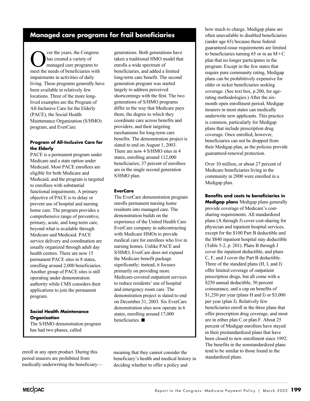# **Managed care programs for frail beneficiaries**

ver the years, the Congress has created a variety of managed care programs to meet the needs of beneficiaries with impairments in activities of daily living. These programs generally have been available in relatively few locations. Three of the more longlived examples are the Program of All-Inclusive Care for the Elderly (PACE), the Social Health Maintenance Organization (S/HMO) program, and EverCare.

#### **Program of All-Inclusive Care for the Elderly**

PACE is a permanent program under Medicare and a state option under Medicaid. Most PACE enrollees are eligible for both Medicare and Medicaid, and the program is targeted to enrollees with substantial functional impairments. A primary objective of PACE is to delay or prevent use of hospital and nursing home care. The program provides a comprehensive range of preventive, primary, acute, and long-term care, beyond what is available through Medicare and Medicaid. PACE service delivery and coordination are usually organized through adult day health centers. There are now 15 permanent PACE sites in 8 states, enrolling around 2,000 beneficiaries. Another group of PACE sites is still operating under demonstration authority while CMS considers their applications to join the permanent program.

#### **Social Health Maintenance Organization**

The S/HMO demonstration program has had two phases, called

generations. Both generations have taken a traditional HMO model that enrolls a wide spectrum of beneficiaries, and added a limited long-term care benefit. The second generation program was started largely to address perceived shortcomings with the first. The two generations of S/HMO programs differ in the way that Medicare pays them, the degree to which they coordinate care across benefits and providers, and their targeting mechanisms for long-term care benefits. The demonstration project is slated to end on August 1, 2003. There are now 4 S/HMO sites in 4 states, enrolling around 112,000 beneficiaries; 37 percent of enrollees are in the single second generation S/HMO plan.

#### **EverCare**

The EverCare demonstration program enrolls permanent nursing home residents into managed care. The demonstration builds on the experience of the United Health Care EverCare company in subcontracting with Medicare HMOs to provide medical care for enrollees who live in nursing homes. Unlike PACE and S/HMO, EverCare does not expand the Medicare benefit package significantly; instead, it focuses primarily on providing more Medicare-covered outpatient services to reduce residents' use of hospital and emergency room care. The demonstration project is slated to end on December 31, 2003. Six EverCare demonstration sites now operate in 6 states, enrolling around 17,000  $h$ eneficiaries.

how much to charge. Medigap plans are often unavailable to disabled beneficiaries (under age 65) because these federal guaranteed-issue requirements are limited to beneficiaries turning  $65$  or in an  $M+C$ plan that no longer participates in the program. Except in the few states that require pure community rating, Medigap plans can be prohibitively expensive for older or sicker beneficiaries seeking coverage. (See text box, p.200, for agerating methodologies.) After the sixmonth open enrollment period, Medigap insurers in most states can medically underwrite new applicants. This practice is common, particularly for Medigap plans that include prescription drug coverage. Once enrolled, however, beneficiaries can not be dropped from their Medigap plan, as the policies provide guaranteed-renewal protection.

Over 10 million, or about 27 percent of Medicare beneficiaries living in the community in 2000 were enrolled in a Medigap plan.

**Benefits and costs to beneficiaries in Medigap plans** Medigap plans generally provide coverage of Medicare's costsharing requirements. All standardized plans (A through J) cover cost-sharing for physician and inpatient hospital services, except for the \$100 Part B deductible and the \$840 inpatient hospital stay deductible (Table 5-2, p. 201). Plans B through J cover the inpatient deductible, and plans C, F, and J cover the Part B deductible. Three of the standard plans (H, I, and J) offer limited coverage of outpatient prescription drugs, but all come with a \$250 annual deductible, 50 percent coinsurance, and a cap on benefits of \$1,250 per year (plans H and I) or \$3,000 per year (plan J). Relatively few beneficiaries enroll in the three plans that offer prescription drug coverage, and most are in either plan C or plan F. About 25 percent of Medigap enrollees have stayed in their prestandardized plans that have been closed to new enrollment since 1992. The benefits in the nonstandardized plans tend to be similar to those found in the standardized plans.

enroll in any open product. During this period insurers are prohibited from medically underwriting the beneficiary—

meaning that they cannot consider the beneficiary's health and medical history in deciding whether to offer a policy and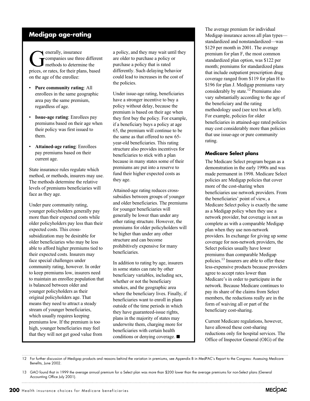# **Medigap age-rating**

enerally, insurance<br>
companies use three<br>
methods to determ<br>
prices or rates for their pla companies use three different methods to determine the prices, or rates, for their plans, based on the age of the enrollee:

- **Pure community rating**: All enrollees in the same geographic area pay the same premium, regardless of age.
- **Issue-age rating**: Enrollees pay premiums based on their age when their policy was first issued to them.
- **Attained-age rating**: Enrollees pay premiums based on their current age.

State insurance rules regulate which method, or methods, insurers may use. The methods determine the relative levels of premiums beneficiaries will face as they age.

Under pure community rating, younger policyholders generally pay more than their expected costs while older policyholders pay less than their expected costs. This crosssubsidization may be desirable for older beneficiaries who may be less able to afford higher premiums tied to their expected costs. Insurers may face special challenges under community rating, however. In order to keep premiums low, insurers need to maintain an enrollee population that is balanced between older and younger policyholders as their original policyholders age. That means they need to attract a steady stream of younger beneficiaries, which usually requires keeping premiums low. If the premium is too high, younger beneficiaries may feel that they will not get good value from

a policy, and they may wait until they are older to purchase a policy or purchase a policy that is rated differently. Such delaying behavior could lead to increases in the cost of the policies.

Under issue-age rating, beneficiaries have a stronger incentive to buy a policy without delay, because the premium is based on their age when they first buy the policy. For example, if a beneficiary buys a policy at age 65, the premium will continue to be the same as that offered to new 65 year-old beneficiaries. This rating structure also provides incentives for beneficiaries to stick with a plan because in many states some of their premiums are put into a reserve to fund their higher expected costs as they age.

Attained-age rating reduces crosssubsidies between groups of younger and older beneficiaries. The premiums for younger beneficiaries will generally be lower than under any other rating structure. However, the premiums for older policyholders will be higher than under any other structure and can become prohibitively expensive for many beneficiaries.

In addition to rating by age, insurers in some states can rate by other beneficiary variables, including sex, whether or not the beneficiary smokes, and the geographic area where the beneficiary lives. Finally, if beneficiaries want to enroll in plans outside of the time periods in which they have guaranteed-issue rights, plans in the majority of states may underwrite them, charging more for beneficiaries with certain health conditions or denying coverage.  $\blacksquare$ 

The average premium for individual Medigap insurance across all plan types standardized and nonstandardized—was \$129 per month in 2001. The average premium for plan F, the most common standardized plan option, was \$122 per month; premiums for standardized plans that include outpatient prescription drug coverage ranged from \$119 for plan H to \$196 for plan J. Medigap premiums vary considerably by state.<sup>12</sup> Premiums also vary substantially according to the age of the beneficiary and the rating methodology used (see text box at left). For example, policies for older beneficiaries in attained-age rated policies may cost considerably more than policies that use issue-age or pure community rating.

#### **Medicare Select plans**

The Medicare Select program began as a demonstration in the early 1990s and was made permanent in 1998. Medicare Select policies are Medigap policies that cover more of the cost-sharing when beneficiaries use network providers. From the beneficiaries' point of view, a Medicare Select policy is exactly the same as a Medigap policy when they use a network provider, but coverage is not as complete as with a comparable Medigap plan when they use non-network providers. In exchange for giving up some coverage for non-network providers, the Select policies usually have lower premiums than comparable Medigap policies.13 Insurers are able to offer these less-expensive products because providers agree to accept rates lower than Medicare's in order to participate in the network. Because Medicare continues to pay its share of the claims from Select members, the reductions really are in the form of waiving all or part of the beneficiary cost-sharing.

Current Medicare regulations, however, have allowed these cost-sharing reductions only for hospital services. The Office of Inspector General (OIG) of the



<sup>12</sup> For further discussion of Medigap products and reasons behind the variation in premiums, see Appendix B in MedPAC's Report to the Congress: Assessing Medicare Benefits, June 2002.

<sup>13</sup> GAO found that in 1999 the average annual premium for a Select plan was more than \$200 lower than the average premiums for non-Select plans (General Accounting Office July 2001).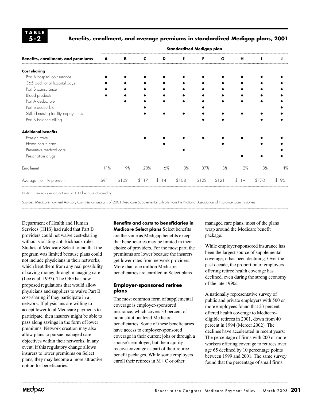**TABLE 5-2**

#### **Benefits, enrollment, and average premiums in standardized Medigap plans, 2001**

|                                     | Standardized Medigap plan |       |       |       |       |       |       |       |       |       |
|-------------------------------------|---------------------------|-------|-------|-------|-------|-------|-------|-------|-------|-------|
| Benefits, enrollment, and premiums  | A                         | В     | c     | D     | Е     | F     | G     | H     | н     |       |
| <b>Cost sharing</b>                 |                           |       |       |       |       |       |       |       |       |       |
| Part A hospital coinsurance         |                           |       |       |       |       |       |       |       |       |       |
| 365 additional hospital days        |                           |       |       |       |       |       |       |       |       |       |
| Part B coinsurance                  |                           |       |       |       |       |       |       |       |       |       |
| Blood products                      |                           |       |       |       |       |       |       |       |       |       |
| Part A deductible                   |                           |       |       |       |       |       |       |       |       |       |
| Part B deductible                   |                           |       |       |       |       |       |       |       |       |       |
| Skilled nursing facility copayments |                           |       |       |       |       |       |       |       |       |       |
| Part B balance billing              |                           |       |       |       |       |       |       |       |       |       |
| <b>Additional benefits</b>          |                           |       |       |       |       |       |       |       |       |       |
| Foreign travel                      |                           |       |       |       |       |       |       |       |       |       |
| Home health care                    |                           |       |       |       |       |       |       |       |       |       |
| Preventive medical care             |                           |       |       |       |       |       |       |       |       |       |
| Prescription drugs                  |                           |       |       |       |       |       |       |       |       |       |
| Enrollment                          | 11%                       | $9\%$ | 23%   | 6%    | 3%    | 37%   | 3%    | 2%    | 3%    | 4%    |
| Average monthly premium             | \$91                      | \$102 | \$117 | \$114 | \$108 | \$122 | \$121 | \$119 | \$170 | \$196 |

Note: Percentages do not sum to 100 because of rounding.

Source: Medicare Payment Advisory Commission analysis of 2001 Medicare Supplemental Exhibits from the National Association of Insurance Commissioners.

Department of Health and Human Services (HHS) had ruled that Part B providers could not waive cost-sharing without violating anti-kickback rules. Studies of Medicare Select found that the program was limited because plans could not include physicians in their networks, which kept them from any real possibility of saving money through managing care (Lee et al. 1997). The OIG has now proposed regulations that would allow physicians and suppliers to waive Part B cost-sharing if they participate in a network. If physicians are willing to accept lower total Medicare payments to participate, then insurers might be able to pass along savings in the form of lower premiums. Network creation may also allow plans to pursue managed care objectives within their networks. In any event, if this regulatory change allows insurers to lower premiums on Select plans, they may become a more attractive option for beneficiaries.

**Benefits and costs to beneficiaries in Medicare Select plans** Select benefits are the same as Medigap benefits except that beneficiaries may be limited in their choice of providers. For the most part, the premiums are lower because the insurers get lower rates from network providers. More than one million Medicare beneficiaries are enrolled in Select plans.

#### **Employer-sponsored retiree plans**

The most common form of supplemental coverage is employer-sponsored insurance, which covers 33 percent of noninstitutionalized Medicare beneficiaries. Some of these beneficiaries have access to employer-sponsored coverage in their current jobs or through a spouse's employer, but the majority receive coverage as part of their retiree benefit packages. While some employers enroll their retirees in M-C or other

managed care plans, most of the plans wrap around the Medicare benefit package.

While employer-sponsored insurance has been the largest source of supplemental coverage, it has been declining. Over the past decade, the proportion of employers offering retiree health coverage has declined, even during the strong economy of the late 1990s.

A nationally representative survey of public and private employers with 500 or more employees found that 23 percent offered health coverage to Medicareeligible retirees in 2001, down from 40 percent in 1994 (Mercer 2002). The declines have accelerated in recent years: The percentage of firms with 200 or more workers offering coverage to retirees over age 65 declined by 10 percentage points between 1999 and 2001. The same survey found that the percentage of small firms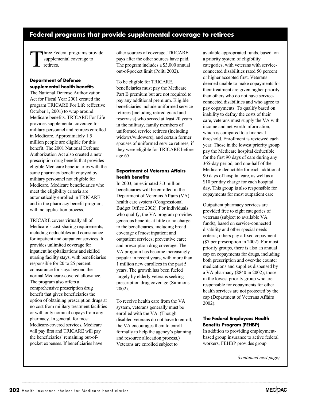# **Federal programs that provide supplemental coverage to retirees**

Three Federal programs provide supplemental coverage to retirees.

#### **Department of Defense supplemental health benefits**

The National Defense Authorization Act for Fiscal Year 2001 created the program TRICARE For Life (effective October 1, 2001) to wrap around Medicare benefits. TRICARE For Life provides supplemental coverage for military personnel and retirees enrolled in Medicare. Approximately 1.5 million people are eligible for this benefit. The 2001 National Defense Authorization Act also created a new prescription drug benefit that provides eligible Medicare beneficiaries with the same pharmacy benefit enjoyed by military personnel not eligible for Medicare. Medicare beneficiaries who meet the eligibility criteria are automatically enrolled in TRICARE and in the pharmacy benefit program, with no application process.

TRICARE covers virtually all of Medicare's cost-sharing requirements, including deductibles and coinsurance for inpatient and outpatient services. It provides unlimited coverage for inpatient hospitalizations and skilled nursing facility stays, with beneficiaries responsible for 20 to 25 percent coinsurance for stays beyond the normal Medicare-covered allowance. The program also offers a comprehensive prescription drug benefit that gives beneficiaries the option of obtaining prescription drugs at no cost from military treatment facilities or with only nominal copays from any pharmacy. In general, for most Medicare-covered services, Medicare will pay first and TRICARE will pay the beneficiaries' remaining out-ofpocket expenses. If beneficiaries have

other sources of coverage, TRICARE pays after the other sources have paid. The program includes a \$3,000 annual out-of-pocket limit (Politi 2002).

To be eligible for TRICARE, beneficiaries must pay the Medicare Part B premium but are not required to pay any additional premium. Eligible beneficiaries include uniformed service retirees (including retired guard and reservists) who served at least 20 years in the military, family members of uniformed service retirees (including widows/widowers), and certain former spouses of uniformed service retirees, if they were eligible for TRICARE before age 65.

#### **Department of Veterans Affairs health benefits**

In 2003, an estimated 3.3 million beneficiaries will be enrolled in the Department of Veterans Affairs (VA) health care system (Congressional Budget Office 2002). For individuals who qualify, the VA program provides generous benefits at little or no charge to the beneficiaries, including broad coverage of most inpatient and outpatient services; preventive care; and prescription drug coverage. The VA program has become increasingly popular in recent years, with more than 1 million new enrollees in the past 5 years. The growth has been fueled largely by elderly veterans seeking prescription drug coverage (Simmons 2002).

To receive health care from the VA system, veterans generally must be enrolled with the VA. (Though disabled veterans do not have to enroll, the VA encourages them to enroll formally to help the agency's planning and resource allocation process.) Veterans are enrolled subject to

available appropriated funds, based on a priority system of eligibility categories, with veterans with serviceconnected disabilities rated 50 percent or higher accepted first. Veterans deemed unable to make copayments for their treatment are given higher priority than others who do not have serviceconnected disabilities and who agree to pay copayments. To qualify based on inability to defray the costs of their care, veterans must supply the VA with income and net worth information, which is compared to a financial threshold. Enrollment is reviewed each year. Those in the lowest priority group pay the Medicare hospital deductible for the first 90 days of care during any 365-day period, and one-half of the Medicare deductible for each additional 90 days of hospital care, as well as a \$10 per day charge for each hospital day. This group is also responsible for copayments for most outpatient care.

Outpatient pharmacy services are provided free to eight categories of veterans (subject to available VA funds), based on service-connected disability and other special needs criteria; others pay a fixed copayment (\$7 per prescription in 2002). For most priority groups, there is also an annual cap on copayments for drugs, including both prescription and over-the counter medications and supplies dispensed by a VA pharmacy (\$840 in 2002); those in the lowest priority group who are responsible for copayments for other health services are not protected by the cap (Department of Veterans Affairs 2002).

#### **The Federal Employees Health Benefits Program (FEHBP)**

In addition to providing employmentbased group insurance to active federal workers, FEHBP provides group

*(continued next page)*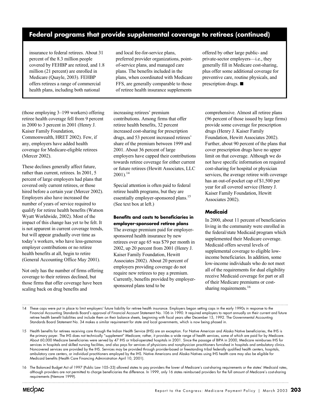# **Federal programs that provide supplemental coverage to retirees (continued)**

insurance to federal retirees. About 31 percent of the 8.3 million people covered by FEHBP are retired, and 1.8 million (21 percent) are enrolled in Medicare (Quayle, 2003). FEHBP offers retirees a range of commercial health plans, including both national

and local fee-for-service plans, preferred provider organizations, pointof-service plans, and managed care plans. The benefits included in the plans, when coordinated with Medicare FFS, are generally comparable to those of retiree health insurance supplements

(those employing 3–199 workers) offering retiree health coverage fell from 9 percent in 2000 to 3 percent in 2001 (Henry J. Kaiser Family Foundation, Commonwealth, HRET 2002). Few, if any, employers have added health coverage for Medicare-eligible retirees (Mercer 2002).

These declines generally affect future, rather than current, retirees. In 2001, 5 percent of large employers had plans that covered only current retirees, or those hired before a certain year (Mercer 2002). Employers also have increased the number of years of service required to qualify for retiree health benefits (Watson Wyatt Worldwide, 2002). Most of the impact of this change has yet to be felt. It is not apparent in current coverage trends, but will appear gradually over time as today's workers, who have less-generous employer contributions or no retiree health benefits at all, begin to retire (General Accounting Office May 2001).

Not only has the number of firms offering coverage to their retirees declined, but those firms that offer coverage have been scaling back on drug benefits and

increasing retirees' premium contributions. Among firms that offer retiree health benefits, 32 percent increased cost-sharing for prescription drugs, and 53 percent increased retirees' share of the premium between 1999 and 2001. About 36 percent of large employers have capped their contributions towards retiree coverage for either current or future retirees (Hewitt Associates, LLC  $2001$ ).<sup>14</sup>

Special attention is often paid to federal retiree health programs, but they are essentially employer-sponsored plans.<sup>15</sup> (See text box at left.)

**Benefits and costs to beneficiaries in employer-sponsored retiree plans** The average premium paid for employersponsored health insurance by new retirees over age 65 was \$79 per month in 2002, up 20 percent from 2001 (Henry J. Kaiser Family Foundation, Hewitt Associates 2002). About 20 percent of employers providing coverage do not require new retirees to pay a premium. Currently, benefits provided by employersponsored plans tend to be

offered by other large public- and private-sector employers—i.e., they generally fill in Medicare cost-sharing, plus offer some additional coverage for preventive care, routine physicals, and prescription drugs.  $\blacksquare$ 

comprehensive. Almost all retiree plans (96 percent of those issued by large firms) provide some coverage for prescription drugs (Henry J. Kaiser Family Foundation, Hewitt Associates 2002). Further, about 90 percent of the plans that cover prescription drugs have no upper limit on that coverage. Although we do not have specific information on required cost-sharing for hospital or physician services, the average retiree with coverage has an out-of-pocket cap of \$1,500 per year for all covered service (Henry J. Kaiser Family Foundation, Hewitt Associates 2002).

#### **Medicaid**

In 2000, about 11 percent of beneficiaries living in the community were enrolled in the federal/state Medicaid program which supplemented their Medicare coverage. Medicaid offers several levels of supplemental coverage to eligible lowincome beneficiaries. In addition, some low-income individuals who do not meet all of the requirements for dual eligibility receive Medicaid coverage for part or all of their Medicare premiums or costsharing requirements.<sup>16</sup>

14 These caps were put in place to limit employers' future liability for retiree health insurance. Employers began setting caps in the early 1990s in response to the Financial Accounting Standards Board's approval of Financial Account Statement No. 106 in 1990. It required employers to report annually on their current and future retiree health benefit liabilities and include them on their balance sheets, beginning with fiscal years after December 15, 1992. The Governmental Accounting Standards Board Statement No. 34 makes a similar requirement for state and local governments, which is now being phased in.

15 Health benefits for retirees receiving care through the Indian Health Service (IHS) are an exception. For Native American and Alaska Native beneficiaries, the IHS is the primary payer. The IHS does not technically "supplement" Medicare; rather, it provides a wide range of health services, some of which are paid for by Medicare. About 60,000 Medicare beneficiaries were served by 47 IHS or tribal-operated hospitals in 2001. Since the passage of BIPA in 2000, Medicare reimburses IHS for services in hospitals and skilled nursing facilities, and also pays for services of physicians and nonphysician practitioners furnished in hospitals and ambulatory clinics. Noncovered services are provided by the IHS. Services may be provided through provider-based or freestanding tribal federally qualified health centers, hospitals, ambulatory care centers, or individual practitioners employed by the IHS. Native Americans and Alaska Natives using IHS health care may also be eligible for Medicaid benefits (Health Care Financing Administration April 10, 2001).

16 The Balanced Budget Act of 1997 (Public Law 105–33) allowed states to pay providers the lower of Medicare's cost-sharing requirements or the states' Medicaid rates, although providers are not permitted to charge beneficiaries the difference. In 1999, only 16 states reimbursed providers for the full amount of Medicare's cost-sharing requirements (Nemore 1999).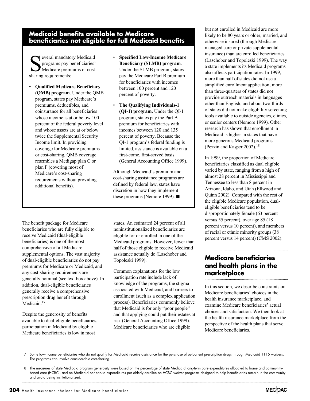## **Medicaid benefits available to Medicare beneficiaries not eligible for full Medicaid benefits**

Several mandatory Medicaid<br>programs pay beneficiaries<br>Medicare premiums or cost<br>sharing requirements programs pay beneficiaries' Medicare premiums or costsharing requirements:

- **Qualified Medicare Beneficiary (QMB) program**. Under the QMB program, states pay Medicare's premiums, deductibles, and coinsurance for all beneficiaries whose income is at or below 100 percent of the federal poverty level and whose assets are at or below twice the Supplemental Security Income limit. In providing coverage for Medicare premiums or cost-sharing, QMB coverage resembles a Medigap plan C or plan F (covering most of Medicare's cost-sharing requirements without providing additional benefits).
- **Specified Low-Income Medicare Beneficiary (SLMB) program**. Under the SLMB program, states pay the Medicare Part B premium for beneficiaries with incomes between 100 percent and 120 percent of poverty.
- **The Qualifying Individuals-1 (QI-1) program.** Under the QI-1 program, states pay the Part B premium for beneficiaries with incomes between 120 and 135 percent of poverty. Because the QI-1 program's federal funding is limited, assistance is available on a first-come, first-served basis (General Accounting Office 1999).

Although Medicaid's premium and cost-sharing assistance programs are defined by federal law, states have discretion in how they implement these programs (Nemore 1999).  $\blacksquare$ 

The benefit package for Medicare beneficiaries who are fully eligible to receive Medicaid (dual-eligible beneficiaries) is one of the most comprehensive of all Medicare supplemental options. The vast majority of dual-eligible beneficiaries do not pay premiums for Medicare or Medicaid, and any cost-sharing requirements are generally nominal (see text box above). In addition, dual-eligible beneficiaries generally receive a comprehensive prescription drug benefit through Medicaid.<sup>17</sup>

Despite the generosity of benefits available to dual-eligible beneficiaries, participation in Medicaid by eligible Medicare beneficiaries is low in most

states. An estimated 24 percent of all noninstitutionalized beneficiaries are eligible for or enrolled in one of the Medicaid programs. However, fewer than half of those eligible to receive Medicaid assistance actually do (Laschober and Topoleski 1999).

Common explanations for the low participation rate include lack of knowledge of the programs, the stigma associated with Medicaid, and barriers to enrollment (such as a complex application process). Beneficiaries commonly believe that Medicaid is for only "poor people" and that applying could put their estates at risk (General Accounting Office 1999). Medicare beneficiaries who are eligible

but not enrolled in Medicaid are more likely to be 80 years or older, married, and otherwise insured (through Medicare managed care or private supplemental insurance) than are enrolled beneficiaries (Laschober and Topoleski 1999). The way a state implements its Medicaid programs also affects participation rates. In 1999, more than half of states did not use a simplified enrollment application; more than three-quarters of states did not provide outreach materials in languages other than English; and about two-thirds of states did not make eligibility screening tools available to outside agencies, clinics, or senior centers (Nemore 1999). Other research has shown that enrollment in Medicaid is higher in states that have more generous Medicaid programs (Pezzin and Kasper 2002).<sup>18</sup>

In 1999, the proportion of Medicare beneficiaries classified as dual eligible varied by state, ranging from a high of almost 28 percent in Mississippi and Tennessee to less than 8 percent in Arizona, Idaho, and Utah (Ellwood and Quinn 2002). Compared with the rest of the eligible Medicare population, dualeligible beneficiaries tend to be disproportionately female (63 percent versus 55 percent), over age 85 (18 percent versus 10 percent), and members of racial or ethnic minority groups (38 percent versus 14 percent) (CMS 2002).

# **Medicare beneficiaries and health plans in the marketplace**

In this section, we describe constraints on Medicare beneficiaries' choices in the health insurance marketplace, and examine Medicare beneficiaries' actual choices and satisfaction. We then look at the health insurance marketplace from the perspective of the health plans that serve Medicare beneficiaries.

17 Some low-income beneficiaries who do not qualify for Medicaid receive assistance for the purchase of outpatient prescription drugs through Medicaid 1115 waivers. The programs can involve considerable cost-sharing.

<sup>18</sup> The measures of state Medicaid program generosity were based on the percentage of state Medicaid long-term care expenditures allocated to home and communitybased care (HCBC), and on Medicaid per capita expenditures per elderly enrollee on HCBC waiver programs designed to help beneficiaries remain in the community and avoid being institutionalized.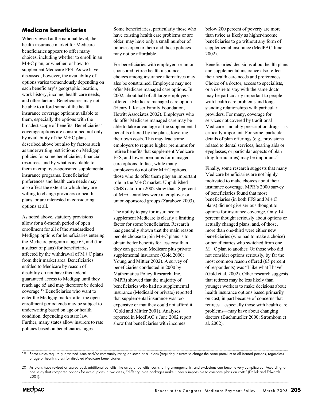#### **Medicare beneficiaries**

When viewed at the national level, the health insurance market for Medicare beneficiaries appears to offer many choices, including whether to enroll in an M-C plan, or whether, or how, to supplement Medicare FFS. As we have discussed, however, the availability of options varies tremendously depending on each beneficiary's geographic location, work history, income, health care needs, and other factors. Beneficiaries may not be able to afford some of the health insurance coverage options available to them, especially the options with the broadest scope of benefits. Beneficiaries' coverage options are constrained not only by availability of the  $M+C$  plans described above but also by factors such as underwriting restrictions on Medigap policies for some beneficiaries, financial resources, and by what is available to them in employer-sponsored supplemental insurance programs. Beneficiaries' preferences and health care needs may also affect the extent to which they are willing to change providers or health plans, or are interested in considering options at all.

As noted above, statutory provisions allow for a 6-month period of open enrollment for all of the standardized Medigap options for beneficiaries entering the Medicare program at age 65, and (for a subset of plans) for beneficiaries affected by the withdrawal of M-C plans from their market area. Beneficiaries entitled to Medicare by reason of disability do not have this federal guaranteed access to Medigap until they reach age 65 and may therefore be denied coverage.19 Beneficiaries who want to enter the Medigap market after the open enrollment period ends may be subject to underwriting based on age or health condition, depending on state law. Further, many states allow insurers to rate policies based on beneficiaries' ages.

Some beneficiaries, particularly those who have existing health care problems or are older, may have only a small number of policies open to them and those policies may not be affordable.

For beneficiaries with employer- or unionsponsored retiree health insurance, choices among insurance alternatives may also be constrained. Employers may not offer Medicare managed care options. In 2002, about half of all large employers offered a Medicare managed care option (Henry J. Kaiser Family Foundation, Hewitt Associates 2002). Employers who do offer Medicare managed care may be able to take advantage of the supplemental benefits offered by the plans, lowering their own costs. This may lead some employers to require higher premiums for retiree benefits that supplement Medicare FFS, and lower premiums for managed care options. In fact, while many employers do not offer M+C options, those who do offer them play an important role in the M-C market. Unpublished CMS data from 2002 show that 18 percent of M-C enrollees were in employer or union-sponsored groups (Zarabozo 2003).

The ability to pay for insurance to supplement Medicare is clearly a limiting factor for some beneficiaries. Research has generally shown that the main reason people choose to join M-C plans is to obtain better benefits for less cost than they can get from Medicare plus private supplemental insurance (Gold 2000; Young and Mittler 2002). A survey of beneficiaries conducted in 2000 by Mathematica Policy Research, Inc. (MPR) showed that the majority of beneficiaries who had no supplemental insurance (Medicaid or private) reported that supplemental insurance was too expensive or that they could not afford it (Gold and Mittler 2001). Analyses reported in MedPAC's June 2002 report show that beneficiaries with incomes

below 200 percent of poverty are more than twice as likely as higher-income beneficiaries to go without any form of supplemental insurance (MedPAC June 2002).

Beneficiaries' decisions about health plans and supplemental insurance also reflect their health care needs and preferences. Choice of a doctor, access to specialists, or a desire to stay with the same doctor may be particularly important to people with health care problems and longstanding relationships with particular providers. For many, coverage for services not covered by traditional Medicare—notably prescription drugs—is critically important. For some, particular details of plan offerings (e.g., provisions related to dental services, hearing aids or eyeglasses, or particular aspects of plan drug formularies) may be important.20

Finally, some research suggests that many Medicare beneficiaries are not highly motivated to make choices about their insurance coverage. MPR's 2000 survey of beneficiaries found that most beneficiaries (in both FFS and M-C plans) did not give serious thought to options for insurance coverage. Only 14 percent thought seriously about options or actually changed plans, and, of those, more than one-third were either new beneficiaries (who had to make a choice) or beneficiaries who switched from one M-C plan to another. Of those who did not consider options seriously, by far the most common reason offered (65 percent of respondents) was "I like what I have" (Gold et al. 2002). Other research suggests that retirees may be less likely than younger workers to make decisions about health insurance options based primarily on cost, in part because of concerns that retirees—especially those with health care problems—may have about changing doctors (Buchmueller 2000; Strombom et al. 2002).

19 Some states require guaranteed issue and/or community rating on some or all plans (requiring insurers to charge the same premium to all insured persons, regardless of age or health status) for disabled Medicare beneficiaries.

<sup>20</sup> As plans have revised or scaled back additional benefits, the array of benefits, cost-sharing arrangements, and exclusions can become very complicated. According to one study that compared options for actual plans in two cities, "differing plan packages make it nearly impossible to compare plans on costs" (Dallek and Edwards 2001).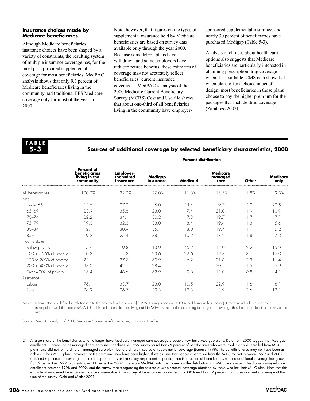#### **Insurance choices made by Medicare beneficiaries**

Although Medicare beneficiaries' insurance choices have been shaped by a variety of constraints, the resulting system of multiple insurance coverage has, for the most part, provided supplemental coverage for most beneficiaries. MedPAC analysis shows that only 9.3 percent of Medicare beneficiaries living in the community had traditional FFS Medicare coverage only for most of the year in 2000.

Note, however, that figures on the types of supplemental insurance held by Medicare beneficiaries are based on survey data available only through the year 2000. Because some M-C plans have withdrawn and some employers have reduced retiree benefits, these estimates of coverage may not accurately reflect beneficiaries' current insurance coverage.21 MedPAC's analysis of the 2000 Medicare Current Beneficiary Survey (MCBS) Cost and Use file shows that about one-third of all beneficiaries living in the community have employersponsored supplemental insurance, and nearly 30 percent of beneficiaries have purchased Medigap (Table 5-3).

Analysis of choices about health care options also suggests that Medicare beneficiaries are particularly interested in obtaining prescription drug coverage when it is available. CMS data show that when plans offer a choice in benefit design, most beneficiaries in those plans choose to pay the higher premium for the packages that include drug coverage (Zarabozo 2002).

**TABLE 5-3**

#### **Sources of additional coverage by selected beneficiary characteristics, 2000**

|                        |                                                                         | <b>Percent distribution</b>                |                      |                 |                             |       |                         |  |
|------------------------|-------------------------------------------------------------------------|--------------------------------------------|----------------------|-----------------|-----------------------------|-------|-------------------------|--|
|                        | <b>Percent of</b><br><b>beneficiaries</b><br>living in the<br>community | <b>Employer-</b><br>sponsored<br>insurance | Medigap<br>insurance | <b>Medicaid</b> | Medicare<br>managed<br>care | Other | <b>Medicare</b><br>only |  |
| All beneficiaries      | 100.0%                                                                  | 32.0%                                      | 27.0%                | 11.6%           | 18.3%                       | 1.8%  | 9.3%                    |  |
| Age                    |                                                                         |                                            |                      |                 |                             |       |                         |  |
| Under 65               | 13.6                                                                    | 27.2                                       | 5.0                  | 34.4            | 9.7                         | 3.2   | 20.5                    |  |
| $65 - 69$              | 23.9                                                                    | 35.6                                       | 23.0                 | 7.4             | 21.0                        | 1.9   | 10.9                    |  |
| $70 - 74$              | 22.2                                                                    | 34.1                                       | 30.2                 | 7.3             | 19.7                        | 1.7   | 7.1                     |  |
| 75-79                  | 19.0                                                                    | 32.3                                       | 33.0                 | 8.4             | 19.4                        | 1.3   | 5.6                     |  |
| $80 - 84$              | 12.1                                                                    | 30.9                                       | 35.4                 | 8.0             | 19.4                        | 1.1   | 5.2                     |  |
| $85+$                  | 9.2                                                                     | 25.4                                       | 38.1                 | 10.2            | 17.2                        | 1.8   | 7.3                     |  |
| Income status          |                                                                         |                                            |                      |                 |                             |       |                         |  |
| Below poverty          | 15.9                                                                    | 9.8                                        | 13.9                 | 46.2            | 12.0                        | 2.2   | 15.9                    |  |
| 100 to 125% of poverty | 10.3                                                                    | 15.3                                       | 23.6                 | 22.6            | 19.8                        | 3.1   | 15.0                    |  |
| 125 to 200% of poverty | 22.1                                                                    | 27.7                                       | 30.9                 | 6.2             | 21.6                        | 2.3   | 11.4                    |  |
| 200 to 400% of poverty | 33.0                                                                    | 42.5                                       | 28.4                 | 1.1             | 20.5                        | 1.5   | 5.9                     |  |
| Over 400% of poverty   | 18.4                                                                    | 46.6                                       | 32.9                 | 0.6             | 15.0                        | 0.8   | 4.1                     |  |
| Residence              |                                                                         |                                            |                      |                 |                             |       |                         |  |
| Urban                  | 76.1                                                                    | 33.7                                       | 23.0                 | 10.5            | 22.9                        | 1.6   | 8.1                     |  |
| Rural                  | 24.9                                                                    | 26.7                                       | 39.8                 | 12.8            | 3.9                         | 2.6   | 13.1                    |  |
|                        |                                                                         |                                            |                      |                 |                             |       |                         |  |

Note: Income status is defined in relationship to the poverty level in 2000 (\$8,259 if living alone and \$10,419 if living with a spouse). Urban includes beneficiaries in metropolitan statistical areas (MSAs). Rural includes beneficiaries living outside MSAs. Beneficiaries according to the type of coverage they held for at least six months of the year.

Source: MedPAC analysis of 2000 Medicare Current Beneficiary Survey, Cost and Use file.

21 A large share of the beneficiaries who no longer have Medicare managed care coverage probably now have Medigap plans. Data from 2000 suggest that Medigap enrollment is increasing as managed care enrollment declines. A 1999 survey found that 75 percent of beneficiaries who were involuntarily disenrolled from M-C plans, and did not join a different managed care plan, found a different source of supplemental coverage (Barents 1999). The benefits offered may not have been as rich as in their M-C plans, however, or the premiums may have been higher. If we assume that people disenrolled from the M-C market between 1999 and 2002 obtained supplemental coverage in the same proportions as the survey respondents reported, then the fraction of beneficiaries with no additional coverage has grown from 9 percent in 1999 to an estimated 11 percent in 2002. These are MedPAC estimates based on the distribution in 1998, the change in Medicare managed care enrollment between 1998 and 2002, and the survey results regarding the sources of supplemental coverage obtained by those who lost their M-C plan. Note that this estimate of uncovered beneficiaries may be conservative. One survey of beneficiaries conducted in 2000 found that 17 percent had no supplemental coverage at the time of the survey (Gold and Mittler 2001).

**206** Health insurance choices for Medicare beneficiaries

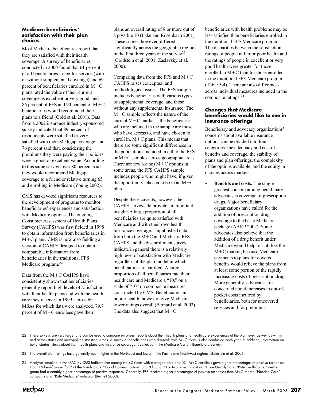#### **Medicare beneficiaries' satisfaction with their plan choices**

Most Medicare beneficiaries report that they are satisfied with their health coverage. A survey of beneficiaries conducted in 2000 found that 61 percent of all beneficiaries in fee-for-service (with or without supplemental coverage) and 69 percent of beneficiaries enrolled in M-C plans rated the value of their current coverage as excellent or very good, and 86 percent of FFS and 90 percent of M-C beneficiaries would recommend their plans to a friend (Gold et al. 2001). Data from a 2002 insurance industry-sponsored survey indicated that 89 percent of respondents were satisfied or very satisfied with their Medigap coverage, and 76 percent said that, considering the premiums they were paying, their policies were a good or excellent value. According to this same survey, over 80 percent said they would recommend Medigap coverage to a friend or relative turning 65 and enrolling in Medicare (Young 2002).

CMS has devoted significant resources to the development of programs to monitor beneficiaries' experiences and satisfaction with Medicare options. The ongoing Consumer Assessment of Health Plans Survey (CAHPS) was first fielded in 1998 to obtain information from beneficiaries in M-C plans. CMS is now also fielding a version of CAHPS designed to obtain comparable information from beneficiaries in the traditional FFS Medicare program.<sup>22</sup>

Data from the M-C CAHPS have consistently shown that beneficiaries generally report high levels of satisfaction with their health plans and with the health care they receive. In 1999, across 69 MSAs for which data were analyzed, 79.7 percent of M-C enrollees gave their

plans an overall rating of 8 or more out of a possible 10 (Lake and Rosenbach 2001). These scores, however, differed significantly across the geographic regions in the first three years of the survey<sup>23</sup> (Goldstein et al. 2001; Zaslavsky et al. 2000).

Comparing data from the FFS and  $M+C$ CAHPS raises conceptual and methodological issues. The FFS sample includes beneficiaries with various types of supplemental coverage, and those without any supplemental insurance. The M-C sample reflects the nature of the current M-C market—the beneficiaries who are included in the sample are those who have access to, and have chosen to enroll in, M-C plans. This means that there are some significant differences in the populations included in either the FFS or M-C samples across geographic areas. There are few (or no)  $M+C$  options in some areas, the FFS CAHPS sample includes people who might have, if given the opportunity, chosen to be in an  $M+C$ plan.

Despite these caveats, however, the CAHPS surveys do provide an important insight: A large proportion of all beneficiaries are quite satisfied with Medicare and with their own health insurance coverage. Unpublished data from both the M-C and Medicare FFS CAHPS and the disenrollment survey indicate in general there is a relatively high level of satisfaction with Medicare regardless of the plan model in which beneficiaries are enrolled. A large proportion of all beneficiaries rate their health care and Medicare a "10," on a scale of "10" on composite measures constructed by CMS. Beneficiaries in poorer health, however, give Medicare lower ratings overall (Bernard et al. 2003). The data also suggest that  $M+C$ 

beneficiaries with health problems may be less satisfied than beneficiaries enrolled in the traditional FFS Medicare program: The disparities between the satisfaction ratings of people in fair or poor health and the ratings of people in excellent or very good health were greater for those enrolled in M-C than for those enrolled in the traditional FFS Medicare program (Table 5-4). There are also differences across individual measures included in the composite ratings.24

#### **Changes that Medicare beneficiaries would like to see in insurance offerings**

Beneficiary and advocacy organizations' concerns about available insurance options can be divided into four categories: the adequacy and cost of benefits and coverage, the stability of plans and plan offerings, the complexity of the options available, and the equity in choices across markets.

• **Benefits and costs.** The single greatest concern among beneficiary advocates is coverage of prescription drugs. Major beneficiary organizations have called for the addition of prescription drug coverage to the basic Medicare package (AARP 2002). Some advocates also believe that the addition of a drug benefit under Medicare would help to stabilize the M-C market, because Medicare payments to plans for covered benefits would relieve the plans from at least some portion of the rapidly increasing costs of prescription drugs. More generally, advocates are concerned about increases in out-ofpocket costs incurred by beneficiaries, both for uncovered services and for premiums—

<sup>22</sup> These surveys are very large, and can be used to compare enrollees' reports about their health plans and health care experiences at the plan level, as well as within and across states and metropolitan statistical areas. A survey of beneficiaries who disenroll from M-C plans is also conducted each year. In addition, information on beneficiaries' views about their health plans and insurance coverage is collected in the Medicare Current Beneficiary Survey.

<sup>23</sup> The overall plan ratings have generally been higher in the Northeast and lower in the Pacific and Northwest regions (Goldstein et al. 2001).

<sup>24</sup> Analyses supplied to MedPAC by CMS indicate that among the 42 states with managed care and DC, M-C enrollees gave higher percentages of positive responses than FFS beneficiaries for 2 of the 6 indicators: "Good Communication" and "Flu Shot." For two other indicators, "Care Quickly" and "Rate Health Care," neither group had a notably higher percentage of positive responses. Generally, FFS received higher percentages of positive responses than M-C for the "Needed Care" composite and "Rate Medicare" indicator (Bennett 2003).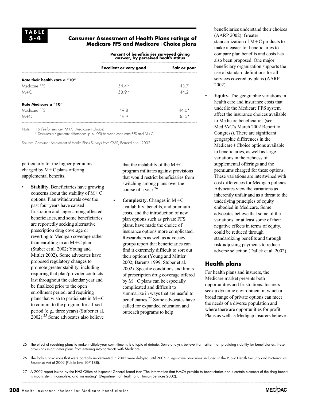#### **Consumer Assessment of Health Plans ratings of Medicare FFS and Medicare**-**Choice plans**

**Percent of beneficiaries surveyed giving answer, by perceived health status**

|                               | <b>Excellent or very good</b> | Fair or poor |  |  |
|-------------------------------|-------------------------------|--------------|--|--|
|                               |                               |              |  |  |
| Rate their health care a "10" |                               |              |  |  |
| Medicare FFS                  | $54.4*$                       | 43.7         |  |  |
| $M + C$                       | 58.9*                         | 44 2         |  |  |
| Rate Medicare a "10"          |                               |              |  |  |
| Medicare FFS                  | 49.8                          | $44.6*$      |  |  |
| $M + C$                       | 499                           | $36.5*$      |  |  |

Note: FFS (fee-for service), M-C (Medicare-Choice)

 $*$  Statistically significant differences (p  $<$  .05) between Medicare FFS and M+C.

Source: Consumer Assessment of Health Plans Surveys from CMS, Bernard et al. 2002.

particularly for the higher premiums charged by  $M+C$  plans offering supplemental benefits.

**Stability.** Beneficiaries have growing concerns about the stability of  $M+C$ options. Plan withdrawals over the past four years have caused frustration and anger among affected beneficiaries, and some beneficiaries are reportedly seeking alternative prescription drug coverage or reverting to Medigap coverage rather than enrolling in an  $M+C$  plan (Stuber et al. 2002; Young and Mittler 2002). Some advocates have proposed regulatory changes to promote greater stability, including requiring that plan/provider contracts last throughout the calendar year and be finalized prior to the open enrollment period, and requiring plans that wish to participate in  $M+C$ to commit to the program for a fixed period (e.g., three years) (Stuber et al.  $2002$ ).<sup>25</sup> Some advocates also believe

that the instability of the  $M+C$ program militates against provisions that would restrict beneficiaries from switching among plans over the course of a year.<sup>26</sup>

• **Complexity.** Changes in M+C availability, benefits, and premium costs, and the introduction of new plan options such as private FFS plans, have made the choice of insurance options more complicated. Researchers as well as advocacy groups report that beneficiaries can find it extremely difficult to sort out their options (Young and Mittler 2002; Barents 1999; Stuber et al. 2002). Specific conditions and limits of prescription drug coverage offered by M-C plans can be especially complicated and difficult to summarize in ways that are useful to beneficiaries.27 Some advocates have called for expanded education and outreach programs to help

beneficiaries understand their choices (AARP 2002). Greater standardization of M-C products to make it easier for beneficiaries to compare plan benefits and costs has also been proposed. One major beneficiary organization supports the use of standard definitions for all services covered by plans (AARP 2002).

• **Equity.** The geographic variations in health care and insurance costs that underlie the Medicare FFS system affect the insurance choices available to Medicare beneficiaries (see MedPAC's March 2002 Report to Congress). There are significant geographic differences in the Medicare+Choice options available to beneficiaries, as well as large variations in the richness of supplemental offerings and the premiums charged for these options. These variations are intertwined with cost differences for Medigap policies. Advocates view the variations as inherently unfair and as a threat to the underlying principles of equity embodied in Medicare. Some advocates believe that some of the variations, or at least some of their negative effects in terms of equity, could be reduced through standardizing benefits and through risk-adjusting payments to reduce adverse selection (Dallek et al. 2002).

#### **Health plans**

For health plans and insurers, the Medicare market presents both opportunities and frustrations. Insurers seek a dynamic environment in which a broad range of private options can meet the needs of a diverse population and where there are opportunities for profit. Plans as well as Medigap insurers believe



<sup>25</sup> The effect of requiring plans to make multiple-year commitments is a topic of debate. Some analysts believe that, rather than providing stability for beneficiaries, these provisions might deter plans from entering into contracts with Medicare.

<sup>26</sup> The lock-in provisions that were partially implemented in 2002 were delayed until 2005 in legislative provisions included in the Public Health Security and Bioterrorism Response Act of 2002 (Public Law 107-188).

<sup>27</sup> A 2002 report issued by the HHS Office of Inspector General found that "The information that HMOs provide to beneficiaries about certain elements of the drug benefit is inconsistent, incomplete, and misleading" (Department of Health and Human Services 2002).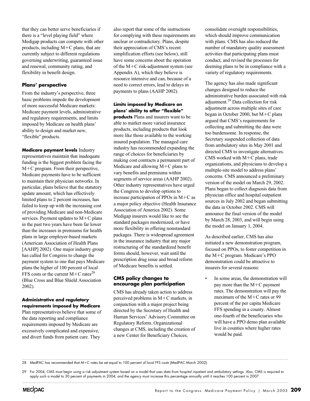that they can better serve beneficiaries if there is a "level playing field" where Medigap products can compete with other products, including M-C plans, that are currently subject to different regulations governing underwriting, guaranteed issue and renewal, community rating, and flexibility in benefit design.

#### **Plans' perspective**

From the industry's perspective, three basic problems impede the development of more successful Medicare markets: Medicare payment levels, administrative and regulatory requirements, and limits imposed by Medicare on health plans' ability to design and market new, "flexible" products.

**Medicare payment levels** Industry representatives maintain that inadequate funding is the biggest problem facing the M-C program. From their perspective, Medicare payments have to be sufficient to maintain their physician networks. In particular, plans believe that the statutory update amount, which has effectively limited plans to 2 percent increases, has failed to keep up with the increasing cost of providing Medicare and non-Medicare services. Payment updates to  $M+C$  plans in the past two years have been far lower than the increases in premiums for health plans in large employer-based markets (American Association of Health Plans [AAHP] 2002). One major industry group has called for Congress to change the payment system to one that pays Medicare plans the higher of 100 percent of local FFS costs or the current  $M+C$  rates<sup>28</sup> (Blue Cross and Blue Shield Association 2002).

#### **Administrative and regulatory requirements imposed by Medicare**

Plan representatives believe that some of the data reporting and compliance requirements imposed by Medicare are excessively complicated and expensive, and divert funds from patient care. They

also report that some of the instructions for complying with these requirements are unclear or contradictory. Plans, despite their appreciation of CMS's recent simplification efforts (see below), still have some concerns about the operation of the M-C risk-adjustment system (see Appendix A), which they believe is resource intensive and can, because of a need to correct errors, lead to delays in payments to plans (AAHP 2002).

#### **Limits imposed by Medicare on plans' ability to offer "flexible"**

**products** Plans and insurers want to be able to market more varied insurance products, including products that look more like those available to the working insured population. The managed care industry has recommended expanding the range of choices for beneficiaries by making cost contracts a permanent part of Medicare and allowing  $M+C$  plans to vary benefits and premiums within segments of service areas (AAHP 2002). Other industry representatives have urged the Congress to develop options to increase participation of PPOs in  $M+C$  as a major policy objective (Health Insurance Association of America 2002). Some Medigap insurers would like to see the standard packages modernized, or have more flexibility in offering nonstandard packages. There is widespread agreement in the insurance industry that any major restructuring of the standardized benefit forms should, however, wait until the prescription drug issue and broad reform of Medicare benefits is settled.

#### **CMS policy changes to encourage plan participation**

CMS has already taken action to address perceived problems in M-C markets, in conjunction with a major project being directed by the Secretary of Health and Human Services' Advisory Committee on Regulatory Reform. Organizational changes at CMS, including the creation of a new Center for Beneficiary Choices,

consolidate oversight responsibilities, which should improve communication with plans. CMS has also reduced the number of mandatory quality assessment activities that participating plans must conduct, and revised the processes for deeming plans to be in compliance with a variety of regulatory requirements.

The agency has also made significant changes designed to reduce the administrative burden associated with risk adjustment.29 Data collection for risk adjustment across multiple sites of care began in October 2000, but M-C plans argued that CMS's requirements for collecting and submitting the data were too burdensome. In response, the Secretary suspended collection of data from ambulatory sites in May 2001 and directed CMS to investigate alternatives. CMS worked with  $M+C$  plans, trade organizations, and physicians to develop a multiple-site model to address plans' concerns. CMS announced a preliminary version of the model on March 29, 2002. Plans began to collect diagnosis data from physician office and hospital outpatient sources in July 2002 and began submitting the data in October 2002. CMS will announce the final version of the model by March 28, 2003, and will begin using the model on January 1, 2004.

As described earlier, CMS has also initiated a new demonstration program, focused on PPOs, to foster competition in the M-C program. Medicare's PPO demonstration could be attractive to insurers for several reasons:

In some areas, the demonstration will pay more than the M-C payment rates. The demonstration will pay the maximum of the M+C rates or 99 percent of the per capita Medicare FFS spending in a county. Almost one-fourth of the beneficiaries who will have a PPO demo plan available live in counties where higher rates would be paid.

28 MedPAC has recommended that M-C rates be set equal to 100 percent of local FFS costs (MedPAC March 2002).

29 For 2004, CMS must begin using a risk adjustment system based on a model that uses data from hospital inpatient and ambulatory settings. Also, CMS is required to apply such a model to 30 percent of payments in 2004, and the agency must increase this percentage annually until it reaches 100 percent in 2007.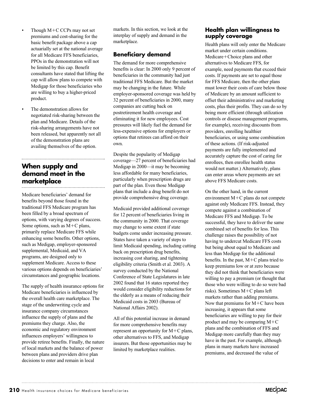- Though M+C CCPs may not set premiums and cost-sharing for the basic benefit package above a cap actuarially set at the national average for all Medicare FFS beneficiaries, PPOs in the demonstration will not be limited by this cap. Benefit consultants have stated that lifting the cap will allow plans to compete with Medigap for those beneficiaries who are willing to buy a higher-priced product.
- The demonstration allows for negotiated risk-sharing between the plan and Medicare. Details of the risk-sharing arrangements have not been released, but apparently not all of the demonstration plans are availing themselves of the option.

# **When supply and demand meet in the marketplace**

Medicare beneficiaries' demand for benefits beyond those found in the traditional FFS Medicare program has been filled by a broad spectrum of options, with varying degrees of success. Some options, such as M-C plans, primarily replace Medicare FFS while enhancing some benefits. Other options, such as Medigap, employer-sponsored supplemental, Medicaid, and VA programs, are designed only to supplement Medicare. Access to these various options depends on beneficiaries' circumstances and geographic locations.

The supply of health insurance options for Medicare beneficiaries is influenced by the overall health care marketplace. The stage of the underwriting cycle and insurance company circumstances influence the supply of plans and the premiums they charge. Also, the economic and regulatory environment influences employers' willingness to provide retiree benefits. Finally, the nature of local markets and the balance of power between plans and providers drive plan decisions to enter and remain in local

markets. In this section, we look at the interplay of supply and demand in the marketplace.

# **Beneficiary demand**

The demand for more comprehensive benefits is clear: In 2000 only 9 percent of beneficiaries in the community had just traditional FFS Medicare. But the market may be changing in the future. While employer-sponsored coverage was held by 32 percent of beneficiaries in 2000, many companies are cutting back on postretirement health coverage and eliminating it for new employees. Cost pressures will likely fuel the demand for less-expensive options for employers or options that retirees can afford on their own.

Despite the popularity of Medigap coverage—27 percent of beneficiaries had Medigap in 2000—it may be becoming less affordable for many beneficiaries, particularly when prescription drugs are part of the plan. Even those Medigap plans that include a drug benefit do not provide comprehensive drug coverage.

Medicaid provided additional coverage for 12 percent of beneficiaries living in the community in 2000. That coverage may change to some extent if state budgets come under increasing pressure. States have taken a variety of steps to limit Medicaid spending, including cutting back on prescription drug benefits, increasing cost sharing, and tightening eligibility criteria (Smith et al. 2003). A survey conducted by the National Conference of State Legislatures in late 2002 found that 16 states reported they would consider eligibility reductions for the elderly as a means of reducing their Medicaid costs in 2003 (Bureau of National Affairs 2002).

All of this potential increase in demand for more comprehensive benefits may represent an opportunity for M+C plans, other alternatives to FFS, and Medigap insurers. But those opportunities may be limited by marketplace realities.

#### **Health plan willingness to supply coverage**

Health plans will only enter the Medicare market under certain conditions. Medicare+Choice plans and other alternatives to Medicare FFS, for example, need payments that exceed their costs. If payments are set to equal those for FFS Medicare, then the other plans must lower their costs of care below those of Medicare by an amount sufficient to offset their administrative and marketing costs, plus their profits. They can do so by being more efficient (through utilization controls or disease management programs, for example), receiving discounts from providers, enrolling healthier beneficiaries, or using some combination of these actions. (If risk-adjusted payments are fully implemented and accurately capture the cost of caring for enrollees, then enrollee health status would not matter.) Alternatively, plans can enter areas where payments are set above FFS Medicare costs.

On the other hand, in the current environment M-C plans do not compete against only Medicare FFS. Instead, they compete against a combination of Medicare FFS and Medigap. To be successful, they have to deliver the same combined set of benefits for less. This challenge raises the possibility of not having to undercut Medicare FFS costs but being about equal to Medicare and less than Medigap for the additional benefits. In the past,  $M+C$  plans tried to keep premiums low or at zero because they did not think that beneficiaries were willing to pay a premium (or thought that those who were willing to do so were bad risks). Sometimes M-C plans left markets rather than adding premiums. Now that premiums for M+C have been increasing, it appears that some beneficiaries are willing to pay for their product and may be comparing M-C plans and the combination of FFS and Medigap more carefully than they may have in the past. For example, although plans in many markets have increased premiums, and decreased the value of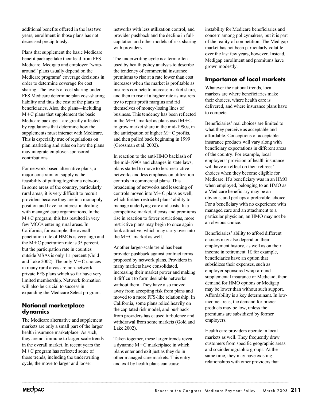additional benefits offered in the last two years, enrollment in those plans has not decreased precipitously.

Plans that supplement the basic Medicare benefit package take their lead from FFS Medicare. Medigap and employer "wraparound" plans usually depend on the Medicare programs' coverage decisions in order to determine coverage for cost sharing. The levels of cost sharing under FFS Medicare determine plan cost-sharing liability and thus the cost of the plans to beneficiaries. Also, the plans—including M-C plans that supplement the basic Medicare package—are greatly affected by regulations that determine how the supplements must interact with Medicare. This is especially true of regulations on plan marketing and rules on how the plans may integrate employer-sponsored contributions.

For network-based alternative plans, a major constraint on supply is the feasibility of putting together a network. In some areas of the country, particularly rural areas, it is very difficult to recruit providers because they are in a monopoly position and have no interest in dealing with managed care organizations. In the M-C program, this has resulted in very few MCOs entering rural areas. In California, for example, the overall penetration rate of HMOs is very high and the M-C penetration rate is 35 percent, but the participation rate in counties outside MSAs is only 1.1 percent (Gold and Lake 2002). The only M-C choices in many rural areas are non-network private FFS plans which so far have very limited membership. Network formation will also be crucial to success in expanding the Medicare Select program.

#### **National marketplace dynamics**

The Medicare alternative and supplement markets are only a small part of the larger health insurance marketplace. As such, they are not immune to larger-scale trends in the overall market. In recent years the M-C program has reflected some of those trends, including the underwriting cycle, the move to larger and looser

networks with less utilization control, and provider pushback and the decline in fullcapitation and other models of risk sharing with providers.

The underwriting cycle is a term often used by health policy analysts to describe the tendency of commercial insurance premiums to rise at a rate lower than cost increases when the market is profitable as insurers compete to increase market share, and then to rise at a higher rate as insurers try to repair profit margins and rid themselves of money-losing lines of business. This tendency has been reflected in the  $M+C$  market as plans used  $M+C$ to grow market share in the mid-1990s, in the anticipation of higher  $M+C$  profits, and then pulled back beginning in 1999 (Grossman et al. 2002).

In reaction to the anti-HMO backlash of the mid-1990s and changes in state laws, plans started to move to less-restrictive networks and less emphasis on utilization controls in commercial plans. This broadening of networks and lessening of controls moved into M-C plans as well, which further restricted plans' ability to manage underlying care and costs. In a competitive market, if costs and premiums rise in reaction to fewer restrictions, more restrictive plans may begin to once again look attractive, which may carry over into the M-C market as well.

Another larger-scale trend has been provider pushback against contract terms proposed by network plans. Providers in many markets have consolidated, increasing their market power and making it difficult to form desirable networks without them. They have also moved away from accepting risk from plans and moved to a more FFS-like relationship. In California, some plans relied heavily on the capitated risk model, and pushback from providers has caused turbulence and withdrawal from some markets (Gold and Lake 2002).

Taken together, these larger trends reveal a dynamic M-C marketplace in which plans enter and exit just as they do in other managed care markets. This entry and exit by health plans can cause

instability for Medicare beneficiaries and concern among policymakers, but it is part of the reality of competition. The Medigap market has not been particularly volatile over the last few years, however. Instead, Medigap enrollment and premiums have grown modestly.

## **Importance of local markets**

Whatever the national trends, local markets are where beneficiaries make their choices, where health care is delivered, and where insurance plans have to compete.

Beneficiaries' real choices are limited to what they perceive as acceptable and affordable. Conceptions of acceptable insurance products will vary along with beneficiary expectations in different areas of the country. For example, local employers' provision of health insurance will have an effect on their retirees' choices when they become eligible for Medicare. If a beneficiary was in an HMO when employed, belonging to an HMO as a Medicare beneficiary may be an obvious, and perhaps a preferable, choice. For a beneficiary with no experience with managed care and an attachment to a particular physician, an HMO may not be an obvious choice.

Beneficiaries' ability to afford different choices may also depend on their employment history, as well as on their income in retirement. If, for example, beneficiaries have an option that subsidizes their expenses, such as employer-sponsored wrap-around supplemental insurance or Medicaid, their demand for HMO options or Medigap may be lower than without such support. Affordability is a key determinant. In lowincome areas, the demand for pricier products may be low, unless the premiums are subsidized by former employers.

Health care providers operate in local markets as well. They frequently draw customers from specific geographic areas and sociodemographic groups. At the same time, they may have existing relationships with other providers that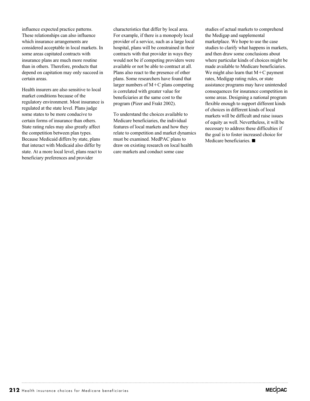influence expected practice patterns. These relationships can also influence which insurance arrangements are considered acceptable in local markets. In some areas capitated contracts with insurance plans are much more routine than in others. Therefore, products that depend on capitation may only succeed in certain areas.

Health insurers are also sensitive to local market conditions because of the regulatory environment. Most insurance is regulated at the state level. Plans judge some states to be more conducive to certain forms of insurance than others. State rating rules may also greatly affect the competition between plan types. Because Medicaid differs by state, plans that interact with Medicaid also differ by state. At a more local level, plans react to beneficiary preferences and provider

characteristics that differ by local area. For example, if there is a monopoly local provider of a service, such as a large local hospital, plans will be constrained in their contracts with that provider in ways they would not be if competing providers were available or not be able to contract at all. Plans also react to the presence of other plans. Some researchers have found that larger numbers of M-C plans competing is correlated with greater value for beneficiaries at the same cost to the program (Pizer and Frakt 2002).

To understand the choices available to Medicare beneficiaries, the individual features of local markets and how they relate to competition and market dynamics must be examined. MedPAC plans to draw on existing research on local health care markets and conduct some case

studies of actual markets to comprehend the Medigap and supplemental marketplace. We hope to use the case studies to clarify what happens in markets, and then draw some conclusions about where particular kinds of choices might be made available to Medicare beneficiaries. We might also learn that  $M+C$  payment rates, Medigap rating rules, or state assistance programs may have unintended consequences for insurance competition in some areas. Designing a national program flexible enough to support different kinds of choices in different kinds of local markets will be difficult and raise issues of equity as well. Nevertheless, it will be necessary to address these difficulties if the goal is to foster increased choice for Medicare beneficiaries.  $\blacksquare$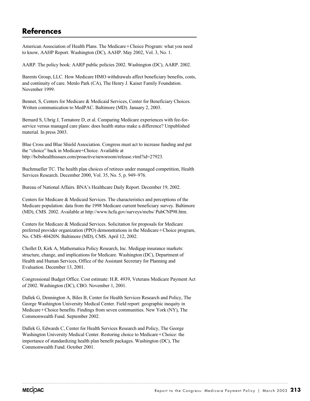# **References**

American Association of Health Plans. The Medicare+Choice Program: what you need to know, AAHP Report. Washington (DC), AAHP. May 2002, Vol. 3, No. 1.

AARP. The policy book: AARP public policies 2002. Washington (DC), AARP. 2002.

Barents Group, LLC. How Medicare HMO withdrawals affect beneficiary benefits, costs, and continuity of care. Menlo Park (CA), The Henry J. Kaiser Family Foundation. November 1999.

Bennet, S, Centers for Medicare & Medicaid Services, Center for Beneficiary Choices. Written communication to MedPAC. Baltimore (MD). January 2, 2003.

Bernard S, Uhrig J, Tornatore D, et al. Comparing Medicare experiences with fee-forservice versus managed care plans: does health status make a difference? Unpublished material. In press 2003.

Blue Cross and Blue Shield Association. Congress must act to increase funding and put the "choice" back in Medicare+Choice. Available at http://bcbshealthissues.com/proactive/newsroom/release.vtml?id=27923.

Buchmueller TC. The health plan choices of retirees under managed competition, Health Services Research. December 2000, Vol. 35, No. 5, p. 949–976.

Bureau of National Affairs. BNA's Healthcare Daily Report. December 19, 2002.

Centers for Medicare & Medicaid Services. The characteristics and perceptions of the Medicare population: data from the 1998 Medicare current beneficiary survey. Baltimore (MD), CMS. 2002. Available at http://www.hcfa.gov/surveys/mcbs/ PubCNP98.htm.

Centers for Medicare & Medicaid Services. Solicitation for proposals for Medicare preferred provider organization (PPO) demonstrations in the Medicare+Choice program, No. CMS–40420N. Baltimore (MD), CMS. April 12, 2002.

Chollet D, Kirk A, Mathematica Policy Research, Inc. Medigap insurance markets: structure, change, and implications for Medicare. Washington (DC), Department of Health and Human Services, Office of the Assistant Secretary for Planning and Evaluation. December 13, 2001.

Congressional Budget Office. Cost estimate: H.R. 4939, Veterans Medicare Payment Act of 2002. Washington (DC), CBO. November 1, 2001.

Dallek G, Dennington A, Biles B, Center for Health Services Research and Policy, The George Washington University Medical Center. Field report: geographic inequity in Medicare+Choice benefits. Findings from seven communities. New York (NY), The Commonwealth Fund. September 2002.

Dallek G, Edwards C, Center for Health Services Research and Policy, The George Washington University Medical Center. Restoring choice to Medicare+Choice: the importance of standardizing health plan benefit packages. Washington (DC), The Commonwealth Fund. October 2001.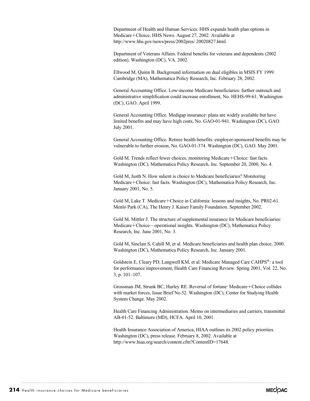Department of Health and Human Services. HHS expands health plan options in Medicare+Choice, HHS News. August 27, 2002. Available at http://www.hhs.gov/news/press/2002pres/ 20020827.html.

Department of Veterans Affairs. Federal benefits for veterans and dependents (2002 edition). Washington (DC), VA. 2002.

Ellwood M, Quinn B. Background information on dual eligibles in MSIS FY 1999. Cambridge (MA), Mathematica Policy Research, Inc. February 28, 2002.

General Accounting Office. Low-income Medicare beneficiaries: further outreach and administrative simplification could increase enrollment, No. HEHS-99-61. Washington (DC), GAO. April 1999.

General Accounting Office. Medigap insurance: plans are widely available but have limited benefits and may have high costs, No. GAO-01-941. Washington (DC), GAO. July 2001.

General Accounting Office. Retiree health benefits: employer-sponsored benefits may be vulnerable to further erosion, No. GAO-01-374. Washington (DC), GAO. May 2001.

Gold M. Trends reflect fewer choices, monitoring Medicare+Choice: fast facts. Washington (DC), Mathematica Policy Research, Inc. September 20, 2000, No. 4.

Gold M, Justh N. How salient is choice to Medicare beneficiaries? Monitoring Medicare+Choice: fast facts. Washington (DC), Mathematica Policy Research, Inc. January 2001, No. 5.

Gold M, Lake T. Medicare+Choice in California: lessons and insights, No. PR02-61. Menlo Park (CA), The Henry J. Kaiser Family Foundation. September 2002.

Gold M, Mittler J. The structure of supplemental insurance for Medicare beneficiaries: Medicare+Choice—operational insights. Washington (DC), Mathematica Policy Research, Inc. June 2001, No. 3.

Gold M, Sinclair S, Cahill M, et al. Medicare beneficiaries and health plan choice, 2000. Washington (DC), Mathematica Policy Research, Inc. January 2001.

Goldstein E, Cleary PD, Langwell KM, et al. Medicare Managed Care CAHPS®: a tool for performance improvement, Health Care Financing Review. Spring 2001, Vol. 22, No. 3, p. 101–107.

Grossman JM, Strunk BC, Hurley RE. Reversal of fortune: Medicare+Choice collides with market forces, Issue Brief No.52. Washington (DC), Center for Studying Health System Change. May 2002.

Health Care Financing Administration. Memo on intermediaries and carriers, transmittal AB-01-52. Baltimore (MD), HCFA. April 10, 2001.

Health Insurance Association of America, HIAA outlines its 2002 policy priorities. Washington (DC), press release. February 8, 2002. Available at http://www.hiaa.org/search/content.cfm?ContentID=17648.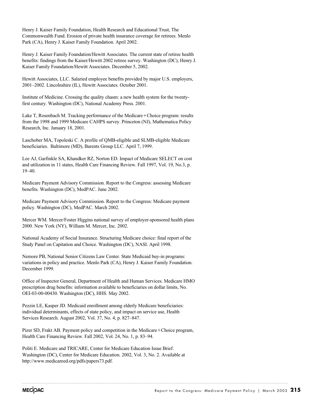Henry J. Kaiser Family Foundation, Health Research and Educational Trust, The Commonwealth Fund. Erosion of private health insurance coverage for retirees. Menlo Park (CA), Henry J. Kaiser Family Foundation. April 2002.

Henry J. Kaiser Family Foundation/Hewitt Associates. The current state of retiree health benefits: findings from the Kaiser/Hewitt 2002 retiree survey. Washington (DC), Henry J. Kaiser Family Foundation/Hewitt Associates. December 5, 2002.

Hewitt Associates, LLC. Salaried employee benefits provided by major U.S. employers, 2001–2002. Lincolnshire (IL), Hewitt Associates. October 2001.

Institute of Medicine. Crossing the quality chasm: a new health system for the twentyfirst century. Washington (DC), National Academy Press. 2001.

Lake T, Rosenbach M. Tracking performance of the Medicare+Choice program: results from the 1998 and 1999 Medicare CAHPS survey. Princeton (NJ), Mathematica Policy Research, Inc. January 18, 2001.

Laschober MA, Topoleski C. A profile of QMB-eligible and SLMB-eligible Medicare beneficiaries. Baltimore (MD), Barents Group LLC. April 7, 1999.

Lee AJ, Garfinkle SA, Khandker RZ, Norton ED. Impact of Medicare SELECT on cost and utilization in 11 states, Health Care Financing Review. Fall 1997, Vol. 19, No.3, p. 19–40.

Medicare Payment Advisory Commission. Report to the Congress: assessing Medicare benefits. Washington (DC), MedPAC. June 2002.

Medicare Payment Advisory Commission. Report to the Congress: Medicare payment policy. Washington (DC), MedPAC. March 2002.

Mercer WM. Mercer/Foster Higgins national survey of employer-sponsored health plans 2000. New York (NY), William M. Mercer, Inc. 2002.

National Academy of Social Insurance. Structuring Medicare choice: final report of the Study Panel on Capitation and Choice. Washington (DC), NASI. April 1998.

Nemore PB, National Senior Citizens Law Center. State Medicaid buy-in programs: variations in policy and practice. Menlo Park (CA), Henry J. Kaiser Family Foundation. December 1999.

Office of Inspector General, Department of Health and Human Services. Medicare HMO prescription drug benefits: information available to beneficiaries on dollar limits, No. OEI-03-00-00430. Washington (DC), HHS. May 2002.

Pezzin LE, Kasper JD. Medicaid enrollment among elderly Medicare beneficiaries: individual determinants, effects of state policy, and impact on service use, Health Services Research. August 2002, Vol. 37, No. 4, p. 827–847.

Pizer SD, Frakt AB. Payment policy and competition in the Medicare+Choice program, Health Care Financing Review. Fall 2002, Vol. 24, No. 1, p. 83–94.

Politi E. Medicare and TRICARE, Center for Medicare Education Issue Brief. Washington (DC), Center for Medicare Education. 2002, Vol. 3, No. 2. Available at http://www.medicareed.org/pdfs/papers73.pdf.